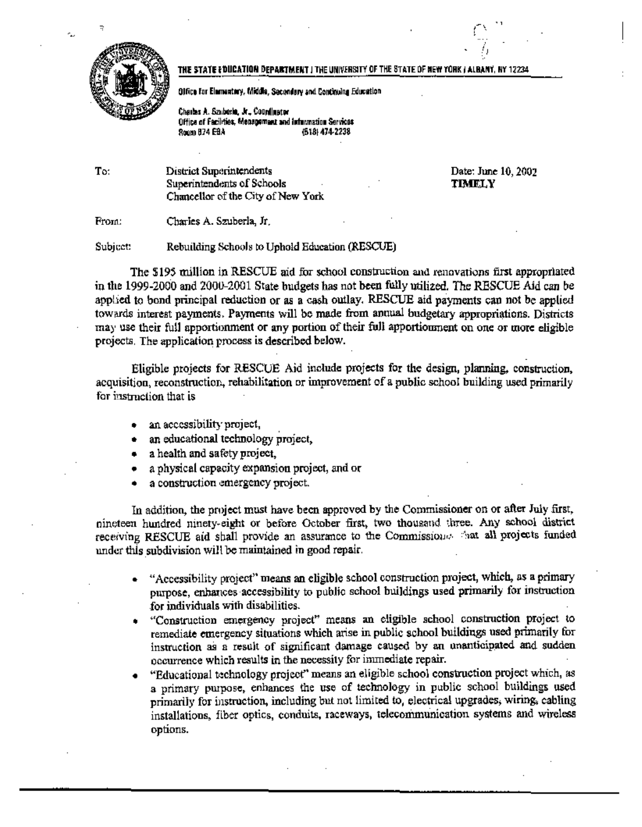

مە

## THE STATE EDUCATION DEPARTMENT I THE UNIVERSITY OF THE STATE OF NEW YORK I ALBANY, NY 12234

Office for Elementary, Middle, Secondary and Continuing Education

Charles A. Szuberle, Jr., Countinator Office of Facilities, Menagement and Information Services 800m 874 EBA (518) 474-2238

To: District Superintendents Superintendents of Schools Chancellor of the City of New York Date: June 10, 2002 **TIMELY** 

Charles A. Szuberla, Jr. From:

Subject: Rebuilding Schools to Uphold Education (RESCUE)

The \$195 million in RESCUE aid for school construction and renovations first appropriated in the 1999-2000 and 2000-2001 State budgets has not been fully utilized. The RESCUE Aid can be applied to bond principal reduction or as a cash outlay. RESCUE aid payments can not be applied towards interest payments. Payments will be made from annual budgetary appropriations. Districts may use their full apportionment or any portion of their full apportionment on one or more eligible projects. The application process is described below.

Eligible projects for RESCUE Aid include projects for the design, planning, construction, acquisition, reconstruction, rehabilitation or improvement of a public school building used primarily for instruction that is

- an accessibility project,
- an educational technology project,
- a health and safety project,
- a physical capacity expansion project, and or
- a construction emergency project.

In addition, the project must have been approved by the Commissioner on or after July first. nineteen hundred ninety-eight or before October first, two thousand three. Any school district receiving RESCUE aid shall provide an assurance to the Commission  $\phi$  at all projects funded under this subdivision will be maintained in good repair.

- "Accessibility project" means an eligible school construction project, which, as a primary purpose, enhances accessibility to public school buildings used primarily for instruction for individuals with disabilities.
- "Construction emergency project" means an eligible school construction project to remediate emergency situations which arise in public school buildings used primarily for instruction as a result of significant damage caused by an unanticipated and sudden occurrence which results in the necessity for immediate repair.
- "Educational technology project" means an eligible school construction project which, as a primary purpose, enhances the use of technology in public school buildings used primarily for instruction, including but not limited to, electrical upgrades, wiring, cabling installations, fiber optics, conduits, raceways, telecommunication systems and wireless options.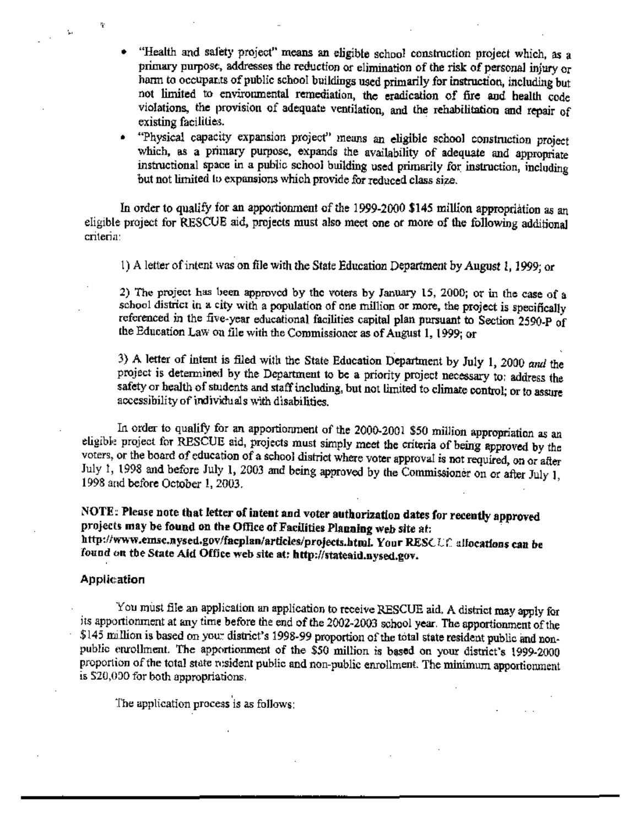"Health and safety project" means an eligible school construction project which, as a primary purpose, addresses the reduction or elimination of the risk of personal injury or harm to occupants of public school buildings used primarily for instruction, including but not limited to environmental remediation, the eradication of fire aud health code violations, the provision of adequate ventilation, and the rehabilitation and repair of existing facilities.

"Physical capacity expansion project" means an eligible school construction project which, as a primary purpose, expands the availability of adequate and appropriate instructional space in a public school building used primarily for instruction, including but not limited to expansions which provide for reduced class size.

In order to qualify for an apportionment of the 1999-2000 \$145 million appropriation as an eligible project for RESCUE aid, projects must also meet one or more of the following additional cnteria·

1) A letter ofintent was on file with the State Education Department by August 1, 1999; or

2) The project has been approved by the voters by January 15, 2000; or in the case of a school district in a city with a population of one million or more, the project is specifically referenced in the five-year educational facilities capital plan pursuant to Section 2590-P of the Education Law on file with the Commissioner as of August 1, 1999; or

3) A letter of intent is filed with the State Education Department by July I, 2000 and the project is determined by the Department to be a priority project necessary to: address the safety or health of students and staff including, but not limited to climate control; or to assure accessibility of individuals with disabilities.

In order to qualifY for an apportionment of the 2000-2001 *\$50* million appropriation as an eligible project for RESCUE aid, projects must simply meet the criteria of being approved by the voters, or the board of education of a school district where voter approval is not required, on or after July 1, 1998 and before July 1, 2003 and being approved by the Commissioner on or after July I, 1998 and before October I, 2003.

NOTE: Please note that letter of intent and voter authorization dates for recently approved projects may be found on the Office of Facilities Planning web site at: http://www.emsc.nysed.gov/faeplan/articles/projects.html. Your RESC Uf allocations can be found on the State Aid Office web site at: http://stateaid.nysed.gov.

## Application

Ŧ

Ł.

You must file an application an application to receive RESCUE aid. A district may apply for its apportionment at any time before the end of the 2002-2003 school year. The apportionment of the \$145 million is based on your district's 1998-99 proportion of the total state resident public and nonpublic enrollment. The apportionment of the \$50 million is based on your district's 1999-2000 proportion of the total state resident public and non-public enrollment. The minimum apportionment is \$20,000 for both appropriations.

The application process is as follows: